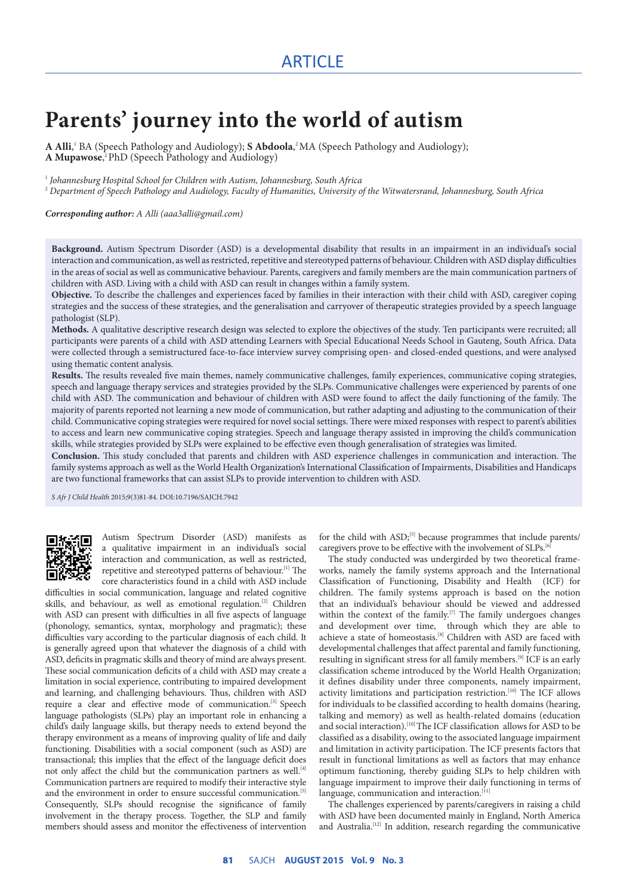# **Parents' journey into the world of autism**

A Alli,<sup>1</sup> BA (Speech Pathology and Audiology); **S Abdoola**,<sup>2</sup> MA (Speech Pathology and Audiology); **A Mupawose**, 2 PhD (Speech Pathology and Audiology)

1  *Johannesburg Hospital School for Children with Autism, Johannesburg, South Africa*

2  *Department of Speech Pathology and Audiology, Faculty of Humanities, University of the Witwatersrand, Johannesburg, South Africa*

*Corresponding author: A Alli (aaa3alli@gmail.com)*

**Background.** Autism Spectrum Disorder (ASD) is a developmental disability that results in an impairment in an individual's social interaction and communication, as well as restricted, repetitive and stereotyped patterns of behaviour. Children with ASD display difficulties in the areas of social as well as communicative behaviour. Parents, caregivers and family members are the main communication partners of children with ASD. Living with a child with ASD can result in changes within a family system.

**Objective.** To describe the challenges and experiences faced by families in their interaction with their child with ASD, caregiver coping strategies and the success of these strategies, and the generalisation and carryover of therapeutic strategies provided by a speech language pathologist (SLP).

**Methods.** A qualitative descriptive research design was selected to explore the objectives of the study. Ten participants were recruited; all participants were parents of a child with ASD attending Learners with Special Educational Needs School in Gauteng, South Africa. Data were collected through a semistructured face-to-face interview survey comprising open- and closed-ended questions, and were analysed using thematic content analysis.

**Results.** The results revealed five main themes, namely communicative challenges, family experiences, communicative coping strategies, speech and language therapy services and strategies provided by the SLPs. Communicative challenges were experienced by parents of one child with ASD. The communication and behaviour of children with ASD were found to affect the daily functioning of the family. The majority of parents reported not learning a new mode of communication, but rather adapting and adjusting to the communication of their child. Communicative coping strategies were required for novel social settings. There were mixed responses with respect to parent's abilities to access and learn new communicative coping strategies. Speech and language therapy assisted in improving the child's communication skills, while strategies provided by SLPs were explained to be effective even though generalisation of strategies was limited.

**Conclusion.** This study concluded that parents and children with ASD experience challenges in communication and interaction. The family systems approach as well as the World Health Organization's International Classification of Impairments, Disabilities and Handicaps are two functional frameworks that can assist SLPs to provide intervention to children with ASD.

*S Afr J Child Health* 2015;9(3)81-84. DOI:10.7196/SAJCH.7942



Autism Spectrum Disorder (ASD) manifests as a qualitative impairment in an individual's social interaction and communication, as well as restricted, repetitive and stereotyped patterns of behaviour.<sup>[1]</sup> The core characteristics found in a child with ASD include

difficulties in social communication, language and related cognitive skills, and behaviour, as well as emotional regulation.<sup>[2]</sup> Children with ASD can present with difficulties in all five aspects of language (phonology, semantics, syntax, morphology and pragmatic); these difficulties vary according to the particular diagnosis of each child. It is generally agreed upon that whatever the diagnosis of a child with ASD, deficits in pragmatic skills and theory of mind are always present. These social communication deficits of a child with ASD may create a limitation in social experience, contributing to impaired development and learning, and challenging behaviours. Thus, children with ASD require a clear and effective mode of communication.<sup>[3]</sup> Speech language pathologists (SLPs) play an important role in enhancing a child's daily language skills, but therapy needs to extend beyond the therapy environment as a means of improving quality of life and daily functioning. Disabilities with a social component (such as ASD) are transactional; this implies that the effect of the language deficit does not only affect the child but the communication partners as well.<sup>[4]</sup> Communication partners are required to modify their interactive style and the environment in order to ensure successful communication.<sup>[5]</sup> Consequently, SLPs should recognise the significance of family involvement in the therapy process. Together, the SLP and family members should assess and monitor the effectiveness of intervention for the child with ASD;<sup>[5]</sup> because programmes that include parents/ caregivers prove to be effective with the involvement of SLPs.<sup>[6]</sup>

The study conducted was undergirded by two theoretical frameworks, namely the family systems approach and the International Classification of Functioning, Disability and Health (ICF) for children. The family systems approach is based on the notion that an individual's behaviour should be viewed and addressed within the context of the family.<sup>[7]</sup> The family undergoes changes and development over time, through which they are able to achieve a state of homeostasis.<sup>[8]</sup> Children with ASD are faced with developmental challenges that affect parental and family functioning, resulting in significant stress for all family members.[9] ICF is an early classification scheme introduced by the World Health Organization; it defines disability under three components, namely impairment, activity limitations and participation restriction.[10] The ICF allows for individuals to be classified according to health domains (hearing, talking and memory) as well as health-related domains (education and social interaction).<sup>[10]</sup> The ICF classification allows for ASD to be classified as a disability, owing to the associated language impairment and limitation in activity participation. The ICF presents factors that result in functional limitations as well as factors that may enhance optimum functioning, thereby guiding SLPs to help children with language impairment to improve their daily functioning in terms of language, communication and interaction.<sup>[11]</sup>

The challenges experienced by parents/caregivers in raising a child with ASD have been documented mainly in England, North America and Australia.<sup>[12]</sup> In addition, research regarding the communicative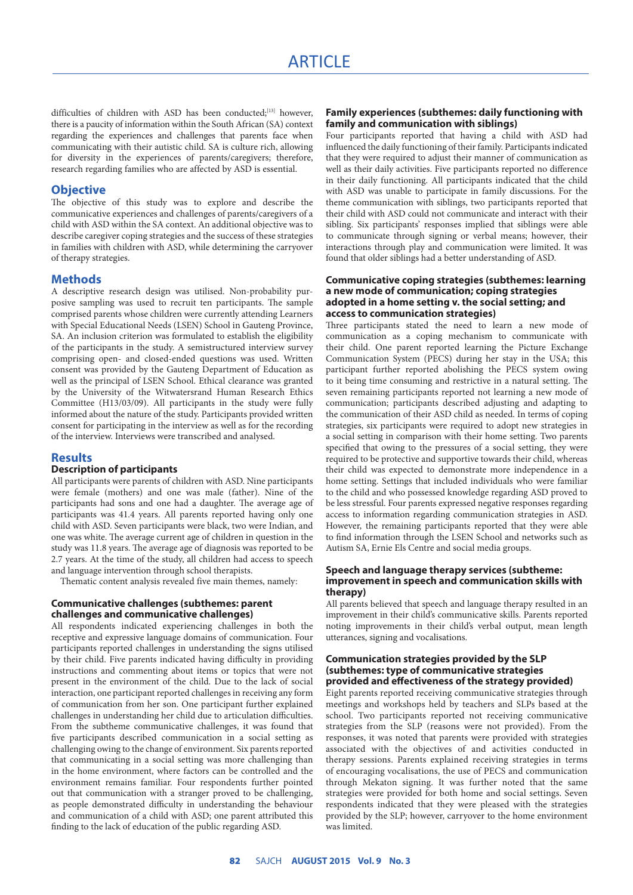difficulties of children with ASD has been conducted;<sup>[13]</sup> however, there is a paucity of information within the South African (SA) context regarding the experiences and challenges that parents face when communicating with their autistic child. SA is culture rich, allowing for diversity in the experiences of parents/caregivers; therefore, research regarding families who are affected by ASD is essential.

## **Objective**

The objective of this study was to explore and describe the communicative experiences and challenges of parents/caregivers of a child with ASD within the SA context. An additional objective was to describe caregiver coping strategies and the success of these strategies in families with children with ASD, while determining the carryover of therapy strategies.

#### **Methods**

A descriptive research design was utilised. Non-probability purposive sampling was used to recruit ten participants. The sample comprised parents whose children were currently attending Learners with Special Educational Needs (LSEN) School in Gauteng Province, SA. An inclusion criterion was formulated to establish the eligibility of the participants in the study. A semistructured interview survey comprising open- and closed-ended questions was used. Written consent was provided by the Gauteng Department of Education as well as the principal of LSEN School. Ethical clearance was granted by the University of the Witwatersrand Human Research Ethics Committee (H13/03/09). All participants in the study were fully informed about the nature of the study. Participants provided written consent for participating in the interview as well as for the recording of the interview. Interviews were transcribed and analysed.

#### **Results**

## **Description of participants**

All participants were parents of children with ASD. Nine participants were female (mothers) and one was male (father). Nine of the participants had sons and one had a daughter. The average age of participants was 41.4 years. All parents reported having only one child with ASD. Seven participants were black, two were Indian, and one was white. The average current age of children in question in the study was 11.8 years. The average age of diagnosis was reported to be 2.7 years. At the time of the study, all children had access to speech and language intervention through school therapists.

Thematic content analysis revealed five main themes, namely:

#### **Communicative challenges (subthemes: parent challenges and communicative challenges)**

All respondents indicated experiencing challenges in both the receptive and expressive language domains of communication. Four participants reported challenges in understanding the signs utilised by their child. Five parents indicated having difficulty in providing instructions and commenting about items or topics that were not present in the environment of the child. Due to the lack of social interaction, one participant reported challenges in receiving any form of communication from her son. One participant further explained challenges in understanding her child due to articulation difficulties. From the subtheme communicative challenges, it was found that five participants described communication in a social setting as challenging owing to the change of environment. Six parents reported that communicating in a social setting was more challenging than in the home environment, where factors can be controlled and the environment remains familiar. Four respondents further pointed out that communication with a stranger proved to be challenging, as people demonstrated difficulty in understanding the behaviour and communication of a child with ASD; one parent attributed this finding to the lack of education of the public regarding ASD.

#### **Family experiences (subthemes: daily functioning with family and communication with siblings)**

Four participants reported that having a child with ASD had influenced the daily functioning of their family. Participants indicated that they were required to adjust their manner of communication as well as their daily activities. Five participants reported no difference in their daily functioning. All participants indicated that the child with ASD was unable to participate in family discussions. For the theme communication with siblings, two participants reported that their child with ASD could not communicate and interact with their sibling. Six participants' responses implied that siblings were able to communicate through signing or verbal means; however, their interactions through play and communication were limited. It was found that older siblings had a better understanding of ASD.

#### **Communicative coping strategies (subthemes: learning a new mode of communication; coping strategies adopted in a home setting v. the social setting; and access to communication strategies)**

Three participants stated the need to learn a new mode of communication as a coping mechanism to communicate with their child. One parent reported learning the Picture Exchange Communication System (PECS) during her stay in the USA; this participant further reported abolishing the PECS system owing to it being time consuming and restrictive in a natural setting. The seven remaining participants reported not learning a new mode of communication; participants described adjusting and adapting to the communication of their ASD child as needed. In terms of coping strategies, six participants were required to adopt new strategies in a social setting in comparison with their home setting. Two parents specified that owing to the pressures of a social setting, they were required to be protective and supportive towards their child, whereas their child was expected to demonstrate more independence in a home setting. Settings that included individuals who were familiar to the child and who possessed knowledge regarding ASD proved to be less stressful. Four parents expressed negative responses regarding access to information regarding communication strategies in ASD. However, the remaining participants reported that they were able to find information through the LSEN School and networks such as Autism SA, Ernie Els Centre and social media groups.

#### **Speech and language therapy services (subtheme: improvement in speech and communication skills with therapy)**

All parents believed that speech and language therapy resulted in an improvement in their child's communicative skills. Parents reported noting improvements in their child's verbal output, mean length utterances, signing and vocalisations.

#### **Communication strategies provided by the SLP (subthemes: type of communicative strategies provided and effectiveness of the strategy provided)**

Eight parents reported receiving communicative strategies through meetings and workshops held by teachers and SLPs based at the school. Two participants reported not receiving communicative strategies from the SLP (reasons were not provided). From the responses, it was noted that parents were provided with strategies associated with the objectives of and activities conducted in therapy sessions. Parents explained receiving strategies in terms of encouraging vocalisations, the use of PECS and communication through Mekaton signing. It was further noted that the same strategies were provided for both home and social settings. Seven respondents indicated that they were pleased with the strategies provided by the SLP; however, carryover to the home environment was limited.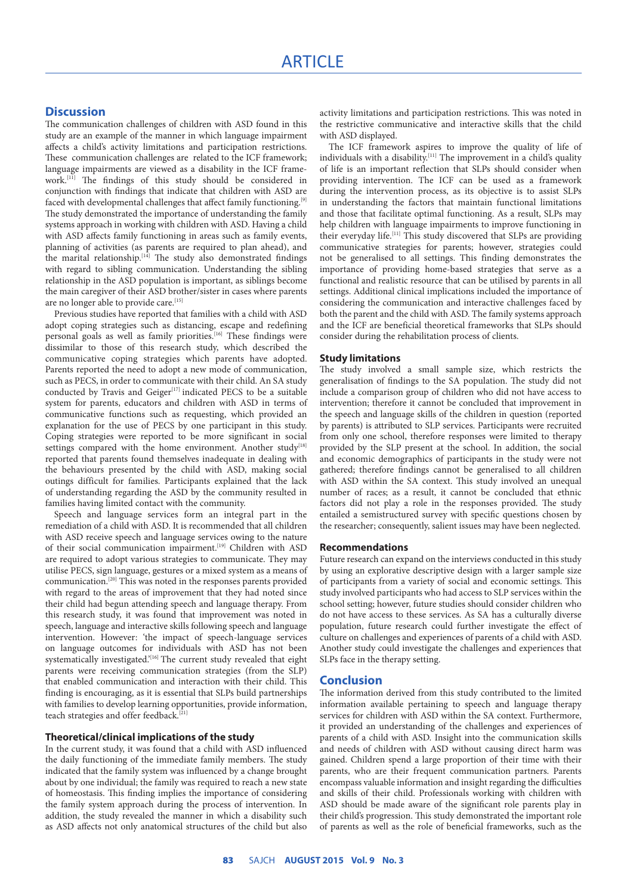# **Discussion**

The communication challenges of children with ASD found in this study are an example of the manner in which language impairment affects a child's activity limitations and participation restrictions. These communication challenges are related to the ICF framework; language impairments are viewed as a disability in the ICF framework.[11] The findings of this study should be considered in conjunction with findings that indicate that children with ASD are faced with developmental challenges that affect family functioning.<sup>[9]</sup> The study demonstrated the importance of understanding the family systems approach in working with children with ASD. Having a child with ASD affects family functioning in areas such as family events, planning of activities (as parents are required to plan ahead), and the marital relationship.  $[14]$  The study also demonstrated findings with regard to sibling communication. Understanding the sibling relationship in the ASD population is important, as siblings become the main caregiver of their ASD brother/sister in cases where parents are no longer able to provide care. [15]

Previous studies have reported that families with a child with ASD adopt coping strategies such as distancing, escape and redefining personal goals as well as family priorities.<sup>[16]</sup> These findings were dissimilar to those of this research study, which described the communicative coping strategies which parents have adopted. Parents reported the need to adopt a new mode of communication, such as PECS, in order to communicate with their child. An SA study conducted by Travis and Geiger<sup>[17]</sup> indicated PECS to be a suitable system for parents, educators and children with ASD in terms of communicative functions such as requesting, which provided an explanation for the use of PECS by one participant in this study. Coping strategies were reported to be more significant in social settings compared with the home environment. Another study<sup>[18]</sup> reported that parents found themselves inadequate in dealing with the behaviours presented by the child with ASD, making social outings difficult for families. Participants explained that the lack of understanding regarding the ASD by the community resulted in families having limited contact with the community.

Speech and language services form an integral part in the remediation of a child with ASD. It is recommended that all children with ASD receive speech and language services owing to the nature of their social communication impairment.<sup>[19]</sup> Children with ASD are required to adopt various strategies to communicate. They may utilise PECS, sign language, gestures or a mixed system as a means of communication.[20] This was noted in the responses parents provided with regard to the areas of improvement that they had noted since their child had begun attending speech and language therapy. From this research study, it was found that improvement was noted in speech, language and interactive skills following speech and language intervention. However: 'the impact of speech-language services on language outcomes for individuals with ASD has not been systematically investigated.'[16] The current study revealed that eight parents were receiving communication strategies (from the SLP) that enabled communication and interaction with their child. This finding is encouraging, as it is essential that SLPs build partnerships with families to develop learning opportunities, provide information, teach strategies and offer feedback.<sup>[21]</sup>

#### **Theoretical/clinical implications of the study**

In the current study, it was found that a child with ASD influenced the daily functioning of the immediate family members. The study indicated that the family system was influenced by a change brought about by one individual; the family was required to reach a new state of homeostasis. This finding implies the importance of considering the family system approach during the process of intervention. In addition, the study revealed the manner in which a disability such as ASD affects not only anatomical structures of the child but also activity limitations and participation restrictions. This was noted in the restrictive communicative and interactive skills that the child with ASD displayed.

The ICF framework aspires to improve the quality of life of individuals with a disability.<sup>[11]</sup> The improvement in a child's quality of life is an important reflection that SLPs should consider when providing intervention. The ICF can be used as a framework during the intervention process, as its objective is to assist SLPs in understanding the factors that maintain functional limitations and those that facilitate optimal functioning. As a result, SLPs may help children with language impairments to improve functioning in their everyday life.<sup>[11]</sup> This study discovered that SLPs are providing communicative strategies for parents; however, strategies could not be generalised to all settings. This finding demonstrates the importance of providing home-based strategies that serve as a functional and realistic resource that can be utilised by parents in all settings. Additional clinical implications included the importance of considering the communication and interactive challenges faced by both the parent and the child with ASD. The family systems approach and the ICF are beneficial theoretical frameworks that SLPs should consider during the rehabilitation process of clients.

#### **Study limitations**

The study involved a small sample size, which restricts the generalisation of findings to the SA population. The study did not include a comparison group of children who did not have access to intervention; therefore it cannot be concluded that improvement in the speech and language skills of the children in question (reported by parents) is attributed to SLP services. Participants were recruited from only one school, therefore responses were limited to therapy provided by the SLP present at the school. In addition, the social and economic demographics of participants in the study were not gathered; therefore findings cannot be generalised to all children with ASD within the SA context. This study involved an unequal number of races; as a result, it cannot be concluded that ethnic factors did not play a role in the responses provided. The study entailed a semistructured survey with specific questions chosen by the researcher; consequently, salient issues may have been neglected.

#### **Recommendations**

Future research can expand on the interviews conducted in this study by using an explorative descriptive design with a larger sample size of participants from a variety of social and economic settings. This study involved participants who had access to SLP services within the school setting; however, future studies should consider children who do not have access to these services. As SA has a culturally diverse population, future research could further investigate the effect of culture on challenges and experiences of parents of a child with ASD. Another study could investigate the challenges and experiences that SLPs face in the therapy setting.

#### **Conclusion**

The information derived from this study contributed to the limited information available pertaining to speech and language therapy services for children with ASD within the SA context. Furthermore, it provided an understanding of the challenges and experiences of parents of a child with ASD. Insight into the communication skills and needs of children with ASD without causing direct harm was gained. Children spend a large proportion of their time with their parents, who are their frequent communication partners. Parents encompass valuable information and insight regarding the difficulties and skills of their child. Professionals working with children with ASD should be made aware of the significant role parents play in their child's progression. This study demonstrated the important role of parents as well as the role of beneficial frameworks, such as the